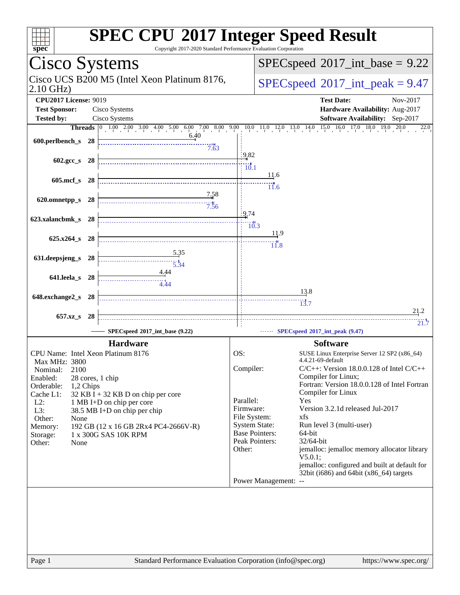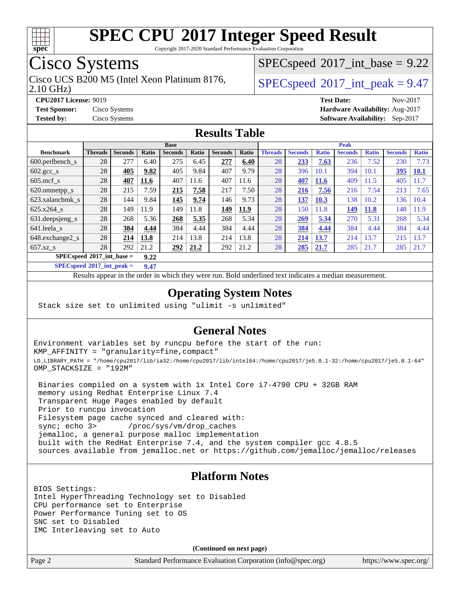

Copyright 2017-2020 Standard Performance Evaluation Corporation

## Cisco Systems

2.10 GHz) Cisco UCS B200 M5 (Intel Xeon Platinum 8176,  $\vert$  [SPECspeed](http://www.spec.org/auto/cpu2017/Docs/result-fields.html#SPECspeed2017intpeak)®[2017\\_int\\_peak = 9](http://www.spec.org/auto/cpu2017/Docs/result-fields.html#SPECspeed2017intpeak).47

 $SPECspeed^{\circ}2017\_int\_base = 9.22$  $SPECspeed^{\circ}2017\_int\_base = 9.22$ 

**[CPU2017 License:](http://www.spec.org/auto/cpu2017/Docs/result-fields.html#CPU2017License)** 9019 **[Test Date:](http://www.spec.org/auto/cpu2017/Docs/result-fields.html#TestDate)** Nov-2017 **[Test Sponsor:](http://www.spec.org/auto/cpu2017/Docs/result-fields.html#TestSponsor)** Cisco Systems **[Hardware Availability:](http://www.spec.org/auto/cpu2017/Docs/result-fields.html#HardwareAvailability)** Aug-2017 **[Tested by:](http://www.spec.org/auto/cpu2017/Docs/result-fields.html#Testedby)** Cisco Systems **[Software Availability:](http://www.spec.org/auto/cpu2017/Docs/result-fields.html#SoftwareAvailability)** Sep-2017

### **[Results Table](http://www.spec.org/auto/cpu2017/Docs/result-fields.html#ResultsTable)**

|                                     | <b>Base</b>    |                |       |                |       |                | <b>Peak</b> |                |                |              |                |              |                |              |
|-------------------------------------|----------------|----------------|-------|----------------|-------|----------------|-------------|----------------|----------------|--------------|----------------|--------------|----------------|--------------|
| <b>Benchmark</b>                    | <b>Threads</b> | <b>Seconds</b> | Ratio | <b>Seconds</b> | Ratio | <b>Seconds</b> | Ratio       | <b>Threads</b> | <b>Seconds</b> | <b>Ratio</b> | <b>Seconds</b> | <b>Ratio</b> | <b>Seconds</b> | <b>Ratio</b> |
| $600.$ perlbench $\mathsf{S}$       | 28             | 277            | 6.40  | 275            | 6.45  | 277            | 6.40        | 28             | 233            | 7.63         | 236            | 7.52         | 230            | 7.73         |
| $602 \text{.} \text{gcc}\text{.}$ s | 28             | 405            | 9.82  | 405            | 9.84  | 407            | 9.79        | 28             | 396            | 10.1         | 394            | 10.1         | 395            | <u>10.1</u>  |
| $605$ .mcf s                        | 28             | 407            | 11.6  | 407            | 11.6  | 407            | 11.6        | 28             | 407            | <b>11.6</b>  | 409            | 11.5         | 405            | 11.7         |
| 620.omnetpp_s                       | 28             | 215            | 7.59  | 215            | 7.58  | 217            | 7.50        | 28             | 216            | 7.56         | 216            | 7.54         | 213            | 7.65         |
| 623.xalancbmk s                     | 28             | 144            | 9.84  | 145            | 9.74  | 146            | 9.73        | 28             | 137            | 10.3         | 138            | 10.2         | 136            | 10.4         |
| 625.x264 s                          | 28             | 149            | 11.9  | 149            | 11.8  | 149            | 11.9        | 28             | 150            | 11.8         | 149            | <b>11.8</b>  | 148            | 1.9          |
| 631.deepsjeng_s                     | 28             | 268            | 5.36  | 268            | 5.35  | 268            | 5.34        | 28             | 269            | 5.34         | 270            | 5.31         | 268            | 5.34         |
| 641.leela s                         | 28             | 384            | 4.44  | 384            | 4.44  | 384            | 4.44        | 28             | 384            | 4.44         | 384            | 4.44         | 384            | 4.44         |
| 648.exchange2 s                     | 28             | 214            | 13.8  | 214            | 13.8  | 214            | 13.8        | 28             | 214            | 13.7         | 214            | 13.7         | 215            | 13.7         |
| $657.xz$ <sub>S</sub>               | 28             | 292            | 21.2  | 292            | 21.2  | 292            | 21.2        | 28             | 285            | 21.7         | 285            | 21.7         | 285            | 21.7         |
| $SPECspeed*2017$ int base =<br>9.22 |                |                |       |                |       |                |             |                |                |              |                |              |                |              |

**[SPECspeed](http://www.spec.org/auto/cpu2017/Docs/result-fields.html#SPECspeed2017intpeak)[2017\\_int\\_peak =](http://www.spec.org/auto/cpu2017/Docs/result-fields.html#SPECspeed2017intpeak) 9.47**

Results appear in the [order in which they were run.](http://www.spec.org/auto/cpu2017/Docs/result-fields.html#RunOrder) Bold underlined text [indicates a median measurement](http://www.spec.org/auto/cpu2017/Docs/result-fields.html#Median).

### **[Operating System Notes](http://www.spec.org/auto/cpu2017/Docs/result-fields.html#OperatingSystemNotes)**

Stack size set to unlimited using "ulimit -s unlimited"

### **[General Notes](http://www.spec.org/auto/cpu2017/Docs/result-fields.html#GeneralNotes)**

Environment variables set by runcpu before the start of the run: KMP\_AFFINITY = "granularity=fine,compact" LD\_LIBRARY\_PATH = "/home/cpu2017/lib/ia32:/home/cpu2017/lib/intel64:/home/cpu2017/je5.0.1-32:/home/cpu2017/je5.0.1-64" OMP\_STACKSIZE = "192M"

 Binaries compiled on a system with 1x Intel Core i7-4790 CPU + 32GB RAM memory using Redhat Enterprise Linux 7.4 Transparent Huge Pages enabled by default Prior to runcpu invocation Filesystem page cache synced and cleared with: sync; echo 3> /proc/sys/vm/drop\_caches jemalloc, a general purpose malloc implementation built with the RedHat Enterprise 7.4, and the system compiler gcc 4.8.5 sources available from jemalloc.net or <https://github.com/jemalloc/jemalloc/releases>

### **[Platform Notes](http://www.spec.org/auto/cpu2017/Docs/result-fields.html#PlatformNotes)**

BIOS Settings: Intel HyperThreading Technology set to Disabled CPU performance set to Enterprise Power Performance Tuning set to OS SNC set to Disabled IMC Interleaving set to Auto

**(Continued on next page)**

Page 2 Standard Performance Evaluation Corporation [\(info@spec.org\)](mailto:info@spec.org) <https://www.spec.org/>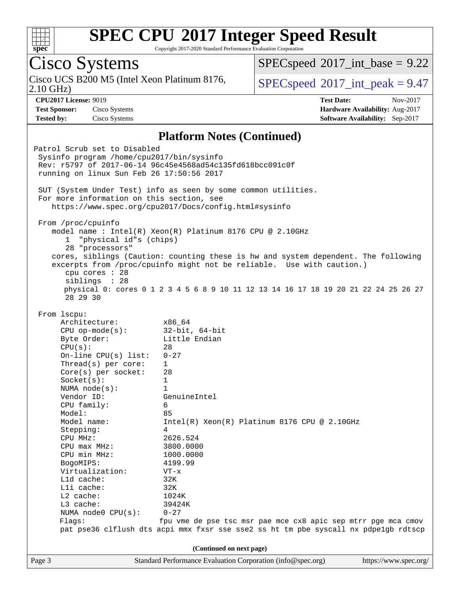

Copyright 2017-2020 Standard Performance Evaluation Corporation

Page 3 Standard Performance Evaluation Corporation [\(info@spec.org\)](mailto:info@spec.org) <https://www.spec.org/> Cisco Systems 2.10 GHz) Cisco UCS B200 M5 (Intel Xeon Platinum 8176,  $\vert$  [SPECspeed](http://www.spec.org/auto/cpu2017/Docs/result-fields.html#SPECspeed2017intpeak)®[2017\\_int\\_peak = 9](http://www.spec.org/auto/cpu2017/Docs/result-fields.html#SPECspeed2017intpeak).47  $SPECspeed^{\circ}2017\_int\_base = 9.22$  $SPECspeed^{\circ}2017\_int\_base = 9.22$ **[CPU2017 License:](http://www.spec.org/auto/cpu2017/Docs/result-fields.html#CPU2017License)** 9019 **[Test Date:](http://www.spec.org/auto/cpu2017/Docs/result-fields.html#TestDate)** Nov-2017 **[Test Sponsor:](http://www.spec.org/auto/cpu2017/Docs/result-fields.html#TestSponsor)** Cisco Systems **[Hardware Availability:](http://www.spec.org/auto/cpu2017/Docs/result-fields.html#HardwareAvailability)** Aug-2017 **[Tested by:](http://www.spec.org/auto/cpu2017/Docs/result-fields.html#Testedby)** Cisco Systems **[Software Availability:](http://www.spec.org/auto/cpu2017/Docs/result-fields.html#SoftwareAvailability)** Sep-2017 **[Platform Notes \(Continued\)](http://www.spec.org/auto/cpu2017/Docs/result-fields.html#PlatformNotes)** Patrol Scrub set to Disabled Sysinfo program /home/cpu2017/bin/sysinfo Rev: r5797 of 2017-06-14 96c45e4568ad54c135fd618bcc091c0f running on linux Sun Feb 26 17:50:56 2017 SUT (System Under Test) info as seen by some common utilities. For more information on this section, see <https://www.spec.org/cpu2017/Docs/config.html#sysinfo> From /proc/cpuinfo model name : Intel(R) Xeon(R) Platinum 8176 CPU @ 2.10GHz 1 "physical id"s (chips) 28 "processors" cores, siblings (Caution: counting these is hw and system dependent. The following excerpts from /proc/cpuinfo might not be reliable. Use with caution.) cpu cores : 28 siblings : 28 physical 0: cores 0 1 2 3 4 5 6 8 9 10 11 12 13 14 16 17 18 19 20 21 22 24 25 26 27 28 29 30 From lscpu: Architecture: x86\_64 CPU op-mode(s): 32-bit, 64-bit Byte Order: Little Endian  $CPU(s):$  28 On-line CPU(s) list: 0-27 Thread(s) per core: 1 Core(s) per socket: 28 Socket(s): 1 NUMA node(s): 1 Vendor ID: GenuineIntel CPU family: 6 Model: 85 Model name: Intel(R) Xeon(R) Platinum 8176 CPU @ 2.10GHz Stepping: 4 CPU MHz: 2626.524 CPU max MHz: 3800.0000 CPU min MHz: 1000.0000 BogoMIPS: 4199.99 Virtualization: VT-x L1d cache: 32K L1i cache: 32K L2 cache: 1024K L3 cache: 39424K NUMA node0 CPU(s): 0-27 Flags: fpu vme de pse tsc msr pae mce cx8 apic sep mtrr pge mca cmov pat pse36 clflush dts acpi mmx fxsr sse sse2 ss ht tm pbe syscall nx pdpe1gb rdtscp **(Continued on next page)**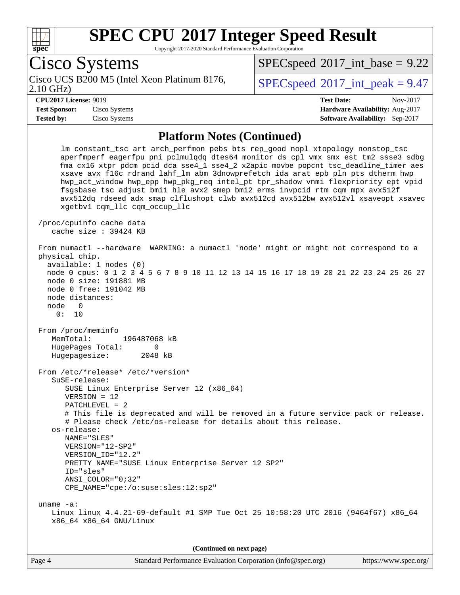

Copyright 2017-2020 Standard Performance Evaluation Corporation

Cisco Systems 2.10 GHz) Cisco UCS B200 M5 (Intel Xeon Platinum 8176,  $\vert$  [SPECspeed](http://www.spec.org/auto/cpu2017/Docs/result-fields.html#SPECspeed2017intpeak)®[2017\\_int\\_peak = 9](http://www.spec.org/auto/cpu2017/Docs/result-fields.html#SPECspeed2017intpeak).47  $SPECspeed^{\circ}2017\_int\_base = 9.22$  $SPECspeed^{\circ}2017\_int\_base = 9.22$ **[CPU2017 License:](http://www.spec.org/auto/cpu2017/Docs/result-fields.html#CPU2017License)** 9019 **[Test Date:](http://www.spec.org/auto/cpu2017/Docs/result-fields.html#TestDate)** Nov-2017 **[Test Sponsor:](http://www.spec.org/auto/cpu2017/Docs/result-fields.html#TestSponsor)** Cisco Systems **[Hardware Availability:](http://www.spec.org/auto/cpu2017/Docs/result-fields.html#HardwareAvailability)** Aug-2017 **[Tested by:](http://www.spec.org/auto/cpu2017/Docs/result-fields.html#Testedby)** Cisco Systems **[Software Availability:](http://www.spec.org/auto/cpu2017/Docs/result-fields.html#SoftwareAvailability)** Sep-2017 **[Platform Notes \(Continued\)](http://www.spec.org/auto/cpu2017/Docs/result-fields.html#PlatformNotes)** lm constant\_tsc art arch\_perfmon pebs bts rep\_good nopl xtopology nonstop\_tsc aperfmperf eagerfpu pni pclmulqdq dtes64 monitor ds\_cpl vmx smx est tm2 ssse3 sdbg fma cx16 xtpr pdcm pcid dca sse4\_1 sse4\_2 x2apic movbe popcnt tsc\_deadline\_timer aes xsave avx f16c rdrand lahf\_lm abm 3dnowprefetch ida arat epb pln pts dtherm hwp hwp\_act\_window hwp\_epp hwp\_pkg\_req intel\_pt tpr\_shadow vnmi flexpriority ept vpid fsgsbase tsc\_adjust bmi1 hle avx2 smep bmi2 erms invpcid rtm cqm mpx avx512f avx512dq rdseed adx smap clflushopt clwb avx512cd avx512bw avx512vl xsaveopt xsavec xgetbv1 cqm\_llc cqm\_occup\_llc /proc/cpuinfo cache data cache size : 39424 KB From numactl --hardware WARNING: a numactl 'node' might or might not correspond to a physical chip. available: 1 nodes (0) node 0 cpus: 0 1 2 3 4 5 6 7 8 9 10 11 12 13 14 15 16 17 18 19 20 21 22 23 24 25 26 27 node 0 size: 191881 MB node 0 free: 191042 MB node distances: node 0 0: 10 From /proc/meminfo MemTotal: 196487068 kB HugePages\_Total: 0 Hugepagesize: 2048 kB From /etc/\*release\* /etc/\*version\* SuSE-release: SUSE Linux Enterprise Server 12 (x86\_64) VERSION = 12 PATCHLEVEL = 2 # This file is deprecated and will be removed in a future service pack or release. # Please check /etc/os-release for details about this release. os-release: NAME="SLES" VERSION="12-SP2" VERSION\_ID="12.2" PRETTY\_NAME="SUSE Linux Enterprise Server 12 SP2" ID="sles" ANSI\_COLOR="0;32" CPE\_NAME="cpe:/o:suse:sles:12:sp2" uname -a: Linux linux 4.4.21-69-default #1 SMP Tue Oct 25 10:58:20 UTC 2016 (9464f67) x86\_64 x86\_64 x86\_64 GNU/Linux **(Continued on next page)**

Page 4 Standard Performance Evaluation Corporation [\(info@spec.org\)](mailto:info@spec.org) <https://www.spec.org/>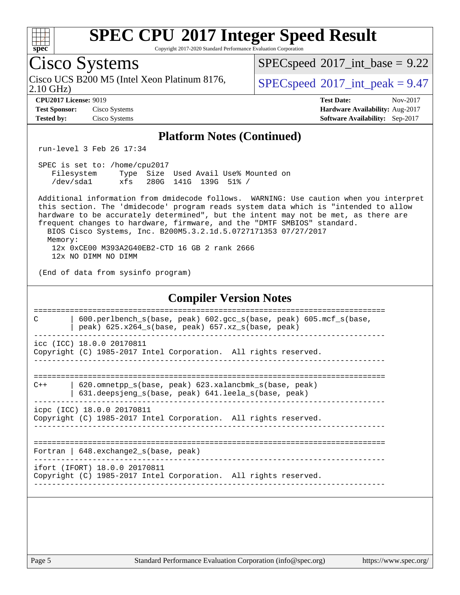| SI<br>оe<br>L. |  |  |  |  |  |  |
|----------------|--|--|--|--|--|--|

Copyright 2017-2020 Standard Performance Evaluation Corporation

## Cisco Systems

2.10 GHz) Cisco UCS B200 M5 (Intel Xeon Platinum 8176,  $\vert$  [SPECspeed](http://www.spec.org/auto/cpu2017/Docs/result-fields.html#SPECspeed2017intpeak)®[2017\\_int\\_peak = 9](http://www.spec.org/auto/cpu2017/Docs/result-fields.html#SPECspeed2017intpeak).47

 $SPECspeed^{\circledcirc}2017\_int\_base = 9.22$  $SPECspeed^{\circledcirc}2017\_int\_base = 9.22$ 

**[Tested by:](http://www.spec.org/auto/cpu2017/Docs/result-fields.html#Testedby)** Cisco Systems **[Software Availability:](http://www.spec.org/auto/cpu2017/Docs/result-fields.html#SoftwareAvailability)** Sep-2017

**[CPU2017 License:](http://www.spec.org/auto/cpu2017/Docs/result-fields.html#CPU2017License)** 9019 **[Test Date:](http://www.spec.org/auto/cpu2017/Docs/result-fields.html#TestDate)** Nov-2017 **[Test Sponsor:](http://www.spec.org/auto/cpu2017/Docs/result-fields.html#TestSponsor)** Cisco Systems **[Hardware Availability:](http://www.spec.org/auto/cpu2017/Docs/result-fields.html#HardwareAvailability)** Aug-2017

### **[Platform Notes \(Continued\)](http://www.spec.org/auto/cpu2017/Docs/result-fields.html#PlatformNotes)**

run-level 3 Feb 26 17:34

 SPEC is set to: /home/cpu2017 Filesystem Type Size Used Avail Use% Mounted on /dev/sda1 xfs 280G 141G 139G 51% /

 Additional information from dmidecode follows. WARNING: Use caution when you interpret this section. The 'dmidecode' program reads system data which is "intended to allow hardware to be accurately determined", but the intent may not be met, as there are frequent changes to hardware, firmware, and the "DMTF SMBIOS" standard. BIOS Cisco Systems, Inc. B200M5.3.2.1d.5.0727171353 07/27/2017 Memory: 12x 0xCE00 M393A2G40EB2-CTD 16 GB 2 rank 2666 12x NO DIMM NO DIMM

(End of data from sysinfo program)

### **[Compiler Version Notes](http://www.spec.org/auto/cpu2017/Docs/result-fields.html#CompilerVersionNotes)**

============================================================================== C | 600.perlbench\_s(base, peak) 602.gcc\_s(base, peak) 605.mcf\_s(base,  $|$  peak) 625.x264 s(base, peak) 657.xz s(base, peak) ----------------------------------------------------------------------------- icc (ICC) 18.0.0 20170811

Copyright (C) 1985-2017 Intel Corporation. All rights reserved. ------------------------------------------------------------------------------

============================================================================== C++ | 620.omnetpp\_s(base, peak) 623.xalancbmk\_s(base, peak)

 | 631.deepsjeng\_s(base, peak) 641.leela\_s(base, peak) ----------------------------------------------------------------------------- icpc (ICC) 18.0.0 20170811

Copyright (C) 1985-2017 Intel Corporation. All rights reserved. ------------------------------------------------------------------------------

============================================================================== Fortran | 648.exchange2 s(base, peak)

------------------------------------------------------------------------------

ifort (IFORT) 18.0.0 20170811 Copyright (C) 1985-2017 Intel Corporation. All rights reserved.

------------------------------------------------------------------------------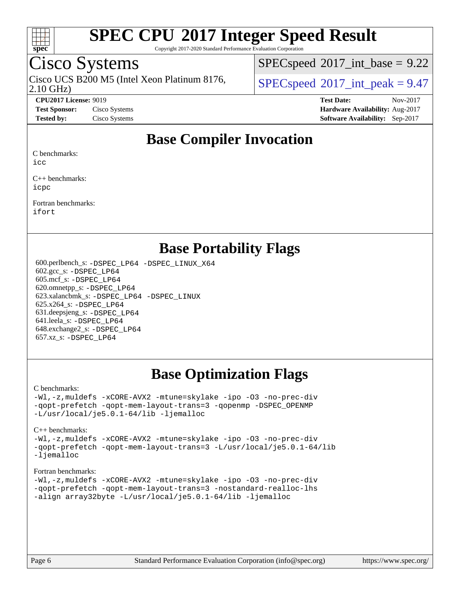

Copyright 2017-2020 Standard Performance Evaluation Corporation

## Cisco Systems

2.10 GHz) Cisco UCS B200 M5 (Intel Xeon Platinum 8176,  $\vert$  [SPECspeed](http://www.spec.org/auto/cpu2017/Docs/result-fields.html#SPECspeed2017intpeak)®[2017\\_int\\_peak = 9](http://www.spec.org/auto/cpu2017/Docs/result-fields.html#SPECspeed2017intpeak).47

 $SPECspeed^{\circ}2017\_int\_base = 9.22$  $SPECspeed^{\circ}2017\_int\_base = 9.22$ 

**[CPU2017 License:](http://www.spec.org/auto/cpu2017/Docs/result-fields.html#CPU2017License)** 9019 **[Test Date:](http://www.spec.org/auto/cpu2017/Docs/result-fields.html#TestDate)** Nov-2017 **[Test Sponsor:](http://www.spec.org/auto/cpu2017/Docs/result-fields.html#TestSponsor)** Cisco Systems **[Hardware Availability:](http://www.spec.org/auto/cpu2017/Docs/result-fields.html#HardwareAvailability)** Aug-2017 **[Tested by:](http://www.spec.org/auto/cpu2017/Docs/result-fields.html#Testedby)** Cisco Systems **[Software Availability:](http://www.spec.org/auto/cpu2017/Docs/result-fields.html#SoftwareAvailability)** Sep-2017

### **[Base Compiler Invocation](http://www.spec.org/auto/cpu2017/Docs/result-fields.html#BaseCompilerInvocation)**

[C benchmarks](http://www.spec.org/auto/cpu2017/Docs/result-fields.html#Cbenchmarks):

[icc](http://www.spec.org/cpu2017/results/res2017q4/cpu2017-20171128-01306.flags.html#user_CCbase_intel_icc_18.0_66fc1ee009f7361af1fbd72ca7dcefbb700085f36577c54f309893dd4ec40d12360134090235512931783d35fd58c0460139e722d5067c5574d8eaf2b3e37e92)

[C++ benchmarks](http://www.spec.org/auto/cpu2017/Docs/result-fields.html#CXXbenchmarks): [icpc](http://www.spec.org/cpu2017/results/res2017q4/cpu2017-20171128-01306.flags.html#user_CXXbase_intel_icpc_18.0_c510b6838c7f56d33e37e94d029a35b4a7bccf4766a728ee175e80a419847e808290a9b78be685c44ab727ea267ec2f070ec5dc83b407c0218cded6866a35d07)

[Fortran benchmarks:](http://www.spec.org/auto/cpu2017/Docs/result-fields.html#Fortranbenchmarks) [ifort](http://www.spec.org/cpu2017/results/res2017q4/cpu2017-20171128-01306.flags.html#user_FCbase_intel_ifort_18.0_8111460550e3ca792625aed983ce982f94888b8b503583aa7ba2b8303487b4d8a21a13e7191a45c5fd58ff318f48f9492884d4413fa793fd88dd292cad7027ca)

### **[Base Portability Flags](http://www.spec.org/auto/cpu2017/Docs/result-fields.html#BasePortabilityFlags)**

 600.perlbench\_s: [-DSPEC\\_LP64](http://www.spec.org/cpu2017/results/res2017q4/cpu2017-20171128-01306.flags.html#b600.perlbench_s_basePORTABILITY_DSPEC_LP64) [-DSPEC\\_LINUX\\_X64](http://www.spec.org/cpu2017/results/res2017q4/cpu2017-20171128-01306.flags.html#b600.perlbench_s_baseCPORTABILITY_DSPEC_LINUX_X64) 602.gcc\_s: [-DSPEC\\_LP64](http://www.spec.org/cpu2017/results/res2017q4/cpu2017-20171128-01306.flags.html#suite_basePORTABILITY602_gcc_s_DSPEC_LP64) 605.mcf\_s: [-DSPEC\\_LP64](http://www.spec.org/cpu2017/results/res2017q4/cpu2017-20171128-01306.flags.html#suite_basePORTABILITY605_mcf_s_DSPEC_LP64) 620.omnetpp\_s: [-DSPEC\\_LP64](http://www.spec.org/cpu2017/results/res2017q4/cpu2017-20171128-01306.flags.html#suite_basePORTABILITY620_omnetpp_s_DSPEC_LP64) 623.xalancbmk\_s: [-DSPEC\\_LP64](http://www.spec.org/cpu2017/results/res2017q4/cpu2017-20171128-01306.flags.html#suite_basePORTABILITY623_xalancbmk_s_DSPEC_LP64) [-DSPEC\\_LINUX](http://www.spec.org/cpu2017/results/res2017q4/cpu2017-20171128-01306.flags.html#b623.xalancbmk_s_baseCXXPORTABILITY_DSPEC_LINUX) 625.x264\_s: [-DSPEC\\_LP64](http://www.spec.org/cpu2017/results/res2017q4/cpu2017-20171128-01306.flags.html#suite_basePORTABILITY625_x264_s_DSPEC_LP64) 631.deepsjeng\_s: [-DSPEC\\_LP64](http://www.spec.org/cpu2017/results/res2017q4/cpu2017-20171128-01306.flags.html#suite_basePORTABILITY631_deepsjeng_s_DSPEC_LP64) 641.leela\_s: [-DSPEC\\_LP64](http://www.spec.org/cpu2017/results/res2017q4/cpu2017-20171128-01306.flags.html#suite_basePORTABILITY641_leela_s_DSPEC_LP64) 648.exchange2\_s: [-DSPEC\\_LP64](http://www.spec.org/cpu2017/results/res2017q4/cpu2017-20171128-01306.flags.html#suite_basePORTABILITY648_exchange2_s_DSPEC_LP64) 657.xz\_s: [-DSPEC\\_LP64](http://www.spec.org/cpu2017/results/res2017q4/cpu2017-20171128-01306.flags.html#suite_basePORTABILITY657_xz_s_DSPEC_LP64)

## **[Base Optimization Flags](http://www.spec.org/auto/cpu2017/Docs/result-fields.html#BaseOptimizationFlags)**

#### [C benchmarks](http://www.spec.org/auto/cpu2017/Docs/result-fields.html#Cbenchmarks):

[-Wl,-z,muldefs](http://www.spec.org/cpu2017/results/res2017q4/cpu2017-20171128-01306.flags.html#user_CCbase_link_force_multiple1_b4cbdb97b34bdee9ceefcfe54f4c8ea74255f0b02a4b23e853cdb0e18eb4525ac79b5a88067c842dd0ee6996c24547a27a4b99331201badda8798ef8a743f577) [-xCORE-AVX2](http://www.spec.org/cpu2017/results/res2017q4/cpu2017-20171128-01306.flags.html#user_CCbase_f-xCORE-AVX2) [-mtune=skylake](http://www.spec.org/cpu2017/results/res2017q4/cpu2017-20171128-01306.flags.html#user_CCbase_intel_tune_for_skl_86c59c1c211e48b12105a346951ac973f3f7ff0220150fc87eb7eebc486e6de90273269c1ff7baa1a79f07c9c7651acf41a74c5f56b64e8ea5421baa3b22ec9e) [-ipo](http://www.spec.org/cpu2017/results/res2017q4/cpu2017-20171128-01306.flags.html#user_CCbase_f-ipo) [-O3](http://www.spec.org/cpu2017/results/res2017q4/cpu2017-20171128-01306.flags.html#user_CCbase_f-O3) [-no-prec-div](http://www.spec.org/cpu2017/results/res2017q4/cpu2017-20171128-01306.flags.html#user_CCbase_f-no-prec-div) [-qopt-prefetch](http://www.spec.org/cpu2017/results/res2017q4/cpu2017-20171128-01306.flags.html#user_CCbase_f-qopt-prefetch) [-qopt-mem-layout-trans=3](http://www.spec.org/cpu2017/results/res2017q4/cpu2017-20171128-01306.flags.html#user_CCbase_f-qopt-mem-layout-trans_de80db37974c74b1f0e20d883f0b675c88c3b01e9d123adea9b28688d64333345fb62bc4a798493513fdb68f60282f9a726aa07f478b2f7113531aecce732043) [-qopenmp](http://www.spec.org/cpu2017/results/res2017q4/cpu2017-20171128-01306.flags.html#user_CCbase_qopenmp_16be0c44f24f464004c6784a7acb94aca937f053568ce72f94b139a11c7c168634a55f6653758ddd83bcf7b8463e8028bb0b48b77bcddc6b78d5d95bb1df2967) [-DSPEC\\_OPENMP](http://www.spec.org/cpu2017/results/res2017q4/cpu2017-20171128-01306.flags.html#suite_CCbase_DSPEC_OPENMP) [-L/usr/local/je5.0.1-64/lib](http://www.spec.org/cpu2017/results/res2017q4/cpu2017-20171128-01306.flags.html#user_CCbase_jemalloc_link_path64_4b10a636b7bce113509b17f3bd0d6226c5fb2346b9178c2d0232c14f04ab830f976640479e5c33dc2bcbbdad86ecfb6634cbbd4418746f06f368b512fced5394) [-ljemalloc](http://www.spec.org/cpu2017/results/res2017q4/cpu2017-20171128-01306.flags.html#user_CCbase_jemalloc_link_lib_d1249b907c500fa1c0672f44f562e3d0f79738ae9e3c4a9c376d49f265a04b9c99b167ecedbf6711b3085be911c67ff61f150a17b3472be731631ba4d0471706)

#### [C++ benchmarks:](http://www.spec.org/auto/cpu2017/Docs/result-fields.html#CXXbenchmarks)

[-Wl,-z,muldefs](http://www.spec.org/cpu2017/results/res2017q4/cpu2017-20171128-01306.flags.html#user_CXXbase_link_force_multiple1_b4cbdb97b34bdee9ceefcfe54f4c8ea74255f0b02a4b23e853cdb0e18eb4525ac79b5a88067c842dd0ee6996c24547a27a4b99331201badda8798ef8a743f577) [-xCORE-AVX2](http://www.spec.org/cpu2017/results/res2017q4/cpu2017-20171128-01306.flags.html#user_CXXbase_f-xCORE-AVX2) [-mtune=skylake](http://www.spec.org/cpu2017/results/res2017q4/cpu2017-20171128-01306.flags.html#user_CXXbase_intel_tune_for_skl_86c59c1c211e48b12105a346951ac973f3f7ff0220150fc87eb7eebc486e6de90273269c1ff7baa1a79f07c9c7651acf41a74c5f56b64e8ea5421baa3b22ec9e) [-ipo](http://www.spec.org/cpu2017/results/res2017q4/cpu2017-20171128-01306.flags.html#user_CXXbase_f-ipo) [-O3](http://www.spec.org/cpu2017/results/res2017q4/cpu2017-20171128-01306.flags.html#user_CXXbase_f-O3) [-no-prec-div](http://www.spec.org/cpu2017/results/res2017q4/cpu2017-20171128-01306.flags.html#user_CXXbase_f-no-prec-div) [-qopt-prefetch](http://www.spec.org/cpu2017/results/res2017q4/cpu2017-20171128-01306.flags.html#user_CXXbase_f-qopt-prefetch) [-qopt-mem-layout-trans=3](http://www.spec.org/cpu2017/results/res2017q4/cpu2017-20171128-01306.flags.html#user_CXXbase_f-qopt-mem-layout-trans_de80db37974c74b1f0e20d883f0b675c88c3b01e9d123adea9b28688d64333345fb62bc4a798493513fdb68f60282f9a726aa07f478b2f7113531aecce732043) [-L/usr/local/je5.0.1-64/lib](http://www.spec.org/cpu2017/results/res2017q4/cpu2017-20171128-01306.flags.html#user_CXXbase_jemalloc_link_path64_4b10a636b7bce113509b17f3bd0d6226c5fb2346b9178c2d0232c14f04ab830f976640479e5c33dc2bcbbdad86ecfb6634cbbd4418746f06f368b512fced5394) [-ljemalloc](http://www.spec.org/cpu2017/results/res2017q4/cpu2017-20171128-01306.flags.html#user_CXXbase_jemalloc_link_lib_d1249b907c500fa1c0672f44f562e3d0f79738ae9e3c4a9c376d49f265a04b9c99b167ecedbf6711b3085be911c67ff61f150a17b3472be731631ba4d0471706)

#### [Fortran benchmarks](http://www.spec.org/auto/cpu2017/Docs/result-fields.html#Fortranbenchmarks):

[-Wl,-z,muldefs](http://www.spec.org/cpu2017/results/res2017q4/cpu2017-20171128-01306.flags.html#user_FCbase_link_force_multiple1_b4cbdb97b34bdee9ceefcfe54f4c8ea74255f0b02a4b23e853cdb0e18eb4525ac79b5a88067c842dd0ee6996c24547a27a4b99331201badda8798ef8a743f577) [-xCORE-AVX2](http://www.spec.org/cpu2017/results/res2017q4/cpu2017-20171128-01306.flags.html#user_FCbase_f-xCORE-AVX2) [-mtune=skylake](http://www.spec.org/cpu2017/results/res2017q4/cpu2017-20171128-01306.flags.html#user_FCbase_intel_tune_for_skl_86c59c1c211e48b12105a346951ac973f3f7ff0220150fc87eb7eebc486e6de90273269c1ff7baa1a79f07c9c7651acf41a74c5f56b64e8ea5421baa3b22ec9e) [-ipo](http://www.spec.org/cpu2017/results/res2017q4/cpu2017-20171128-01306.flags.html#user_FCbase_f-ipo) [-O3](http://www.spec.org/cpu2017/results/res2017q4/cpu2017-20171128-01306.flags.html#user_FCbase_f-O3) [-no-prec-div](http://www.spec.org/cpu2017/results/res2017q4/cpu2017-20171128-01306.flags.html#user_FCbase_f-no-prec-div) [-qopt-prefetch](http://www.spec.org/cpu2017/results/res2017q4/cpu2017-20171128-01306.flags.html#user_FCbase_f-qopt-prefetch) [-qopt-mem-layout-trans=3](http://www.spec.org/cpu2017/results/res2017q4/cpu2017-20171128-01306.flags.html#user_FCbase_f-qopt-mem-layout-trans_de80db37974c74b1f0e20d883f0b675c88c3b01e9d123adea9b28688d64333345fb62bc4a798493513fdb68f60282f9a726aa07f478b2f7113531aecce732043) [-nostandard-realloc-lhs](http://www.spec.org/cpu2017/results/res2017q4/cpu2017-20171128-01306.flags.html#user_FCbase_f_2003_std_realloc_82b4557e90729c0f113870c07e44d33d6f5a304b4f63d4c15d2d0f1fab99f5daaed73bdb9275d9ae411527f28b936061aa8b9c8f2d63842963b95c9dd6426b8a) [-align array32byte](http://www.spec.org/cpu2017/results/res2017q4/cpu2017-20171128-01306.flags.html#user_FCbase_align_array32byte_b982fe038af199962ba9a80c053b8342c548c85b40b8e86eb3cc33dee0d7986a4af373ac2d51c3f7cf710a18d62fdce2948f201cd044323541f22fc0fffc51b6) [-L/usr/local/je5.0.1-64/lib](http://www.spec.org/cpu2017/results/res2017q4/cpu2017-20171128-01306.flags.html#user_FCbase_jemalloc_link_path64_4b10a636b7bce113509b17f3bd0d6226c5fb2346b9178c2d0232c14f04ab830f976640479e5c33dc2bcbbdad86ecfb6634cbbd4418746f06f368b512fced5394) [-ljemalloc](http://www.spec.org/cpu2017/results/res2017q4/cpu2017-20171128-01306.flags.html#user_FCbase_jemalloc_link_lib_d1249b907c500fa1c0672f44f562e3d0f79738ae9e3c4a9c376d49f265a04b9c99b167ecedbf6711b3085be911c67ff61f150a17b3472be731631ba4d0471706)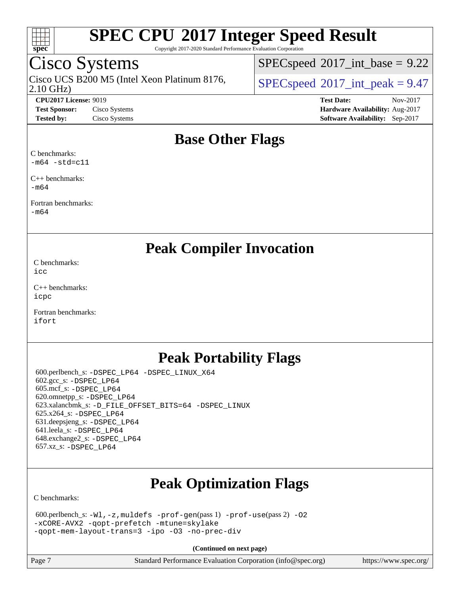

Copyright 2017-2020 Standard Performance Evaluation Corporation

## Cisco Systems

2.10 GHz) Cisco UCS B200 M5 (Intel Xeon Platinum 8176,  $\vert$  [SPECspeed](http://www.spec.org/auto/cpu2017/Docs/result-fields.html#SPECspeed2017intpeak)®[2017\\_int\\_peak = 9](http://www.spec.org/auto/cpu2017/Docs/result-fields.html#SPECspeed2017intpeak).47

 $SPECspeed^{\circ}2017\_int\_base = 9.22$  $SPECspeed^{\circ}2017\_int\_base = 9.22$ 

**[CPU2017 License:](http://www.spec.org/auto/cpu2017/Docs/result-fields.html#CPU2017License)** 9019 **[Test Date:](http://www.spec.org/auto/cpu2017/Docs/result-fields.html#TestDate)** Nov-2017 **[Test Sponsor:](http://www.spec.org/auto/cpu2017/Docs/result-fields.html#TestSponsor)** Cisco Systems **[Hardware Availability:](http://www.spec.org/auto/cpu2017/Docs/result-fields.html#HardwareAvailability)** Aug-2017 **[Tested by:](http://www.spec.org/auto/cpu2017/Docs/result-fields.html#Testedby)** Cisco Systems **[Software Availability:](http://www.spec.org/auto/cpu2017/Docs/result-fields.html#SoftwareAvailability)** Sep-2017

### **[Base Other Flags](http://www.spec.org/auto/cpu2017/Docs/result-fields.html#BaseOtherFlags)**

[C benchmarks](http://www.spec.org/auto/cpu2017/Docs/result-fields.html#Cbenchmarks):  $-m64$   $-std=cl1$ 

[C++ benchmarks:](http://www.spec.org/auto/cpu2017/Docs/result-fields.html#CXXbenchmarks) [-m64](http://www.spec.org/cpu2017/results/res2017q4/cpu2017-20171128-01306.flags.html#user_CXXbase_intel_intel64_18.0_af43caccfc8ded86e7699f2159af6efc7655f51387b94da716254467f3c01020a5059329e2569e4053f409e7c9202a7efc638f7a6d1ffb3f52dea4a3e31d82ab)

[Fortran benchmarks](http://www.spec.org/auto/cpu2017/Docs/result-fields.html#Fortranbenchmarks): [-m64](http://www.spec.org/cpu2017/results/res2017q4/cpu2017-20171128-01306.flags.html#user_FCbase_intel_intel64_18.0_af43caccfc8ded86e7699f2159af6efc7655f51387b94da716254467f3c01020a5059329e2569e4053f409e7c9202a7efc638f7a6d1ffb3f52dea4a3e31d82ab)

**[Peak Compiler Invocation](http://www.spec.org/auto/cpu2017/Docs/result-fields.html#PeakCompilerInvocation)**

[C benchmarks](http://www.spec.org/auto/cpu2017/Docs/result-fields.html#Cbenchmarks): [icc](http://www.spec.org/cpu2017/results/res2017q4/cpu2017-20171128-01306.flags.html#user_CCpeak_intel_icc_18.0_66fc1ee009f7361af1fbd72ca7dcefbb700085f36577c54f309893dd4ec40d12360134090235512931783d35fd58c0460139e722d5067c5574d8eaf2b3e37e92)

[C++ benchmarks:](http://www.spec.org/auto/cpu2017/Docs/result-fields.html#CXXbenchmarks) [icpc](http://www.spec.org/cpu2017/results/res2017q4/cpu2017-20171128-01306.flags.html#user_CXXpeak_intel_icpc_18.0_c510b6838c7f56d33e37e94d029a35b4a7bccf4766a728ee175e80a419847e808290a9b78be685c44ab727ea267ec2f070ec5dc83b407c0218cded6866a35d07)

[Fortran benchmarks](http://www.spec.org/auto/cpu2017/Docs/result-fields.html#Fortranbenchmarks): [ifort](http://www.spec.org/cpu2017/results/res2017q4/cpu2017-20171128-01306.flags.html#user_FCpeak_intel_ifort_18.0_8111460550e3ca792625aed983ce982f94888b8b503583aa7ba2b8303487b4d8a21a13e7191a45c5fd58ff318f48f9492884d4413fa793fd88dd292cad7027ca)

### **[Peak Portability Flags](http://www.spec.org/auto/cpu2017/Docs/result-fields.html#PeakPortabilityFlags)**

 600.perlbench\_s: [-DSPEC\\_LP64](http://www.spec.org/cpu2017/results/res2017q4/cpu2017-20171128-01306.flags.html#b600.perlbench_s_peakPORTABILITY_DSPEC_LP64) [-DSPEC\\_LINUX\\_X64](http://www.spec.org/cpu2017/results/res2017q4/cpu2017-20171128-01306.flags.html#b600.perlbench_s_peakCPORTABILITY_DSPEC_LINUX_X64) 602.gcc\_s: [-DSPEC\\_LP64](http://www.spec.org/cpu2017/results/res2017q4/cpu2017-20171128-01306.flags.html#suite_peakPORTABILITY602_gcc_s_DSPEC_LP64) 605.mcf\_s: [-DSPEC\\_LP64](http://www.spec.org/cpu2017/results/res2017q4/cpu2017-20171128-01306.flags.html#suite_peakPORTABILITY605_mcf_s_DSPEC_LP64) 620.omnetpp\_s: [-DSPEC\\_LP64](http://www.spec.org/cpu2017/results/res2017q4/cpu2017-20171128-01306.flags.html#suite_peakPORTABILITY620_omnetpp_s_DSPEC_LP64) 623.xalancbmk\_s: [-D\\_FILE\\_OFFSET\\_BITS=64](http://www.spec.org/cpu2017/results/res2017q4/cpu2017-20171128-01306.flags.html#user_peakPORTABILITY623_xalancbmk_s_file_offset_bits_64_5ae949a99b284ddf4e95728d47cb0843d81b2eb0e18bdfe74bbf0f61d0b064f4bda2f10ea5eb90e1dcab0e84dbc592acfc5018bc955c18609f94ddb8d550002c) [-DSPEC\\_LINUX](http://www.spec.org/cpu2017/results/res2017q4/cpu2017-20171128-01306.flags.html#b623.xalancbmk_s_peakCXXPORTABILITY_DSPEC_LINUX) 625.x264\_s: [-DSPEC\\_LP64](http://www.spec.org/cpu2017/results/res2017q4/cpu2017-20171128-01306.flags.html#suite_peakPORTABILITY625_x264_s_DSPEC_LP64) 631.deepsjeng\_s: [-DSPEC\\_LP64](http://www.spec.org/cpu2017/results/res2017q4/cpu2017-20171128-01306.flags.html#suite_peakPORTABILITY631_deepsjeng_s_DSPEC_LP64) 641.leela\_s: [-DSPEC\\_LP64](http://www.spec.org/cpu2017/results/res2017q4/cpu2017-20171128-01306.flags.html#suite_peakPORTABILITY641_leela_s_DSPEC_LP64) 648.exchange2\_s: [-DSPEC\\_LP64](http://www.spec.org/cpu2017/results/res2017q4/cpu2017-20171128-01306.flags.html#suite_peakPORTABILITY648_exchange2_s_DSPEC_LP64) 657.xz\_s: [-DSPEC\\_LP64](http://www.spec.org/cpu2017/results/res2017q4/cpu2017-20171128-01306.flags.html#suite_peakPORTABILITY657_xz_s_DSPEC_LP64)

## **[Peak Optimization Flags](http://www.spec.org/auto/cpu2017/Docs/result-fields.html#PeakOptimizationFlags)**

[C benchmarks](http://www.spec.org/auto/cpu2017/Docs/result-fields.html#Cbenchmarks):

```
 600.perlbench_s: -Wl,-z,muldefs -prof-gen(pass 1) -prof-use(pass 2) -O2
-xCORE-AVX2 -qopt-prefetch -mtune=skylake
-qopt-mem-layout-trans=3 -ipo -O3 -no-prec-div
```
**(Continued on next page)**

Page 7 Standard Performance Evaluation Corporation [\(info@spec.org\)](mailto:info@spec.org) <https://www.spec.org/>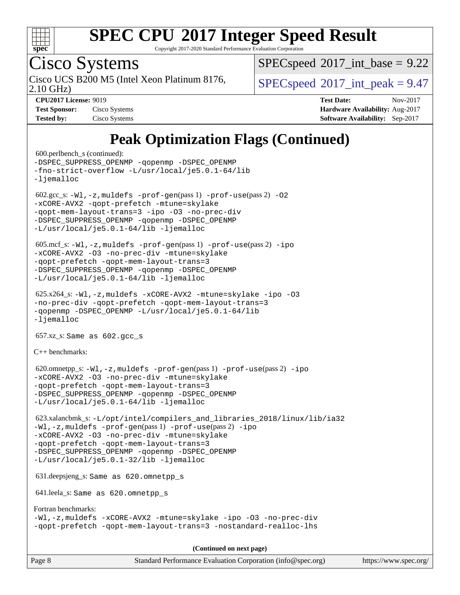

Copyright 2017-2020 Standard Performance Evaluation Corporation

# Cisco Systems

2.10 GHz) Cisco UCS B200 M5 (Intel Xeon Platinum 8176,  $\vert$  [SPECspeed](http://www.spec.org/auto/cpu2017/Docs/result-fields.html#SPECspeed2017intpeak)®[2017\\_int\\_peak = 9](http://www.spec.org/auto/cpu2017/Docs/result-fields.html#SPECspeed2017intpeak).47

 $SPECspeed^{\circ}2017\_int\_base = 9.22$  $SPECspeed^{\circ}2017\_int\_base = 9.22$ 

| <b>Test Sponsor:</b> | Cisco Systems |
|----------------------|---------------|
| <b>Tested by:</b>    | Cisco Systems |

**[CPU2017 License:](http://www.spec.org/auto/cpu2017/Docs/result-fields.html#CPU2017License)** 9019 **[Test Date:](http://www.spec.org/auto/cpu2017/Docs/result-fields.html#TestDate)** Nov-2017 **[Hardware Availability:](http://www.spec.org/auto/cpu2017/Docs/result-fields.html#HardwareAvailability)** Aug-2017 **[Software Availability:](http://www.spec.org/auto/cpu2017/Docs/result-fields.html#SoftwareAvailability)** Sep-2017

## **[Peak Optimization Flags \(Continued\)](http://www.spec.org/auto/cpu2017/Docs/result-fields.html#PeakOptimizationFlags)**

```
 600.perlbench_s (continued):
-DSPEC_SUPPRESS_OPENMP -qopenmp -DSPEC_OPENMP
-fno-strict-overflow -L/usr/local/je5.0.1-64/lib
-ljemalloc
602.\text{sec}\text{s}: -W1, -z, muldefs -\text{prof}-\text{gen}(pass 1) -\text{prof}-\text{use}(pass 2) -02-xCORE-AVX2 -qopt-prefetch -mtune=skylake
-qopt-mem-layout-trans=3 -ipo -O3 -no-prec-div
-DSPEC_SUPPRESS_OPENMP -qopenmp -DSPEC_OPENMP
-L/usr/local/je5.0.1-64/lib -ljemalloc
 605.mcf_s: -Wl,-z,muldefs -prof-gen(pass 1) -prof-use(pass 2) -ipo
-xCORE-AVX2 -O3 -no-prec-div -mtune=skylake
-qopt-prefetch -qopt-mem-layout-trans=3
-DSPEC_SUPPRESS_OPENMP -qopenmp -DSPEC_OPENMP
-L/usr/local/je5.0.1-64/lib -ljemalloc
 625.x264_s: -Wl,-z,muldefs -xCORE-AVX2 -mtune=skylake -ipo -O3
-no-prec-div -qopt-prefetch -qopt-mem-layout-trans=3
-qopenmp -DSPEC_OPENMP -L/usr/local/je5.0.1-64/lib
-ljemalloc
 657.xz_s: Same as 602.gcc_s
C++ benchmarks: 
620.omnetpp_s:-W1-prof-gen-prof-use-ipo
-xCORE-AVX2 -O3 -no-prec-div -mtune=skylake
-qopt-prefetch -qopt-mem-layout-trans=3
-DSPEC_SUPPRESS_OPENMP -qopenmp -DSPEC_OPENMP
-L/usr/local/je5.0.1-64/lib -ljemalloc
 623.xalancbmk_s: -L/opt/intel/compilers_and_libraries_2018/linux/lib/ia32
-Wl,-z,muldefs -prof-gen(pass 1) -prof-use(pass 2) -ipo
-xCORE-AVX2 -O3 -no-prec-div -mtune=skylake
-qopt-prefetch -qopt-mem-layout-trans=3
-DSPEC_SUPPRESS_OPENMP -qopenmp -DSPEC_OPENMP
-L/usr/local/je5.0.1-32/lib -ljemalloc
 631.deepsjeng_s: Same as 620.omnetpp_s
 641.leela_s: Same as 620.omnetpp_s
Fortran benchmarks: 
-Wl,-z,muldefs -xCORE-AVX2 -mtune=skylake -ipo -O3 -no-prec-div
-qopt-prefetch -qopt-mem-layout-trans=3 -nostandard-realloc-lhs
                                      (Continued on next page)
```